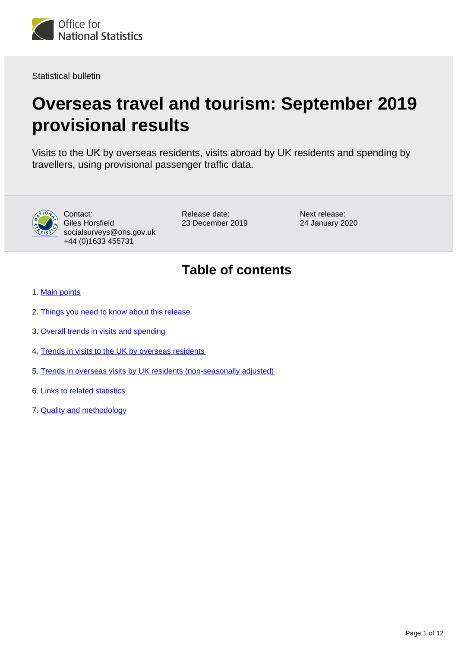

Statistical bulletin

# **Overseas travel and tourism: September 2019 provisional results**

Visits to the UK by overseas residents, visits abroad by UK residents and spending by travellers, using provisional passenger traffic data.



Contact: Giles Horsfield socialsurveys@ons.gov.uk +44 (0)1633 455731

Release date: 23 December 2019 Next release: 24 January 2020

## **Table of contents**

- 1. [Main points](#page-1-0)
- 2. [Things you need to know about this release](#page-1-1)
- 3. [Overall trends in visits and spending](#page-2-0)
- 4. [Trends in visits to the UK by overseas residents](#page-4-0)
- 5. [Trends in overseas visits by UK residents \(non-seasonally adjusted\)](#page-6-0)
- 6. [Links to related statistics](#page-8-0)
- 7. [Quality and methodology](#page-8-1)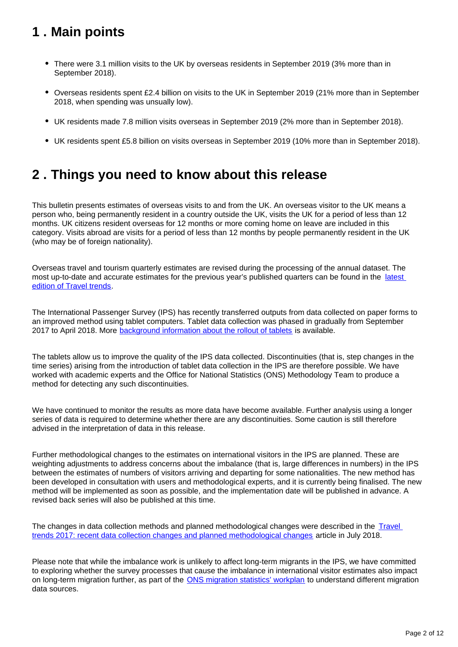## <span id="page-1-0"></span>**1 . Main points**

- There were 3.1 million visits to the UK by overseas residents in September 2019 (3% more than in September 2018).
- Overseas residents spent £2.4 billion on visits to the UK in September 2019 (21% more than in September 2018, when spending was unsually low).
- UK residents made 7.8 million visits overseas in September 2019 (2% more than in September 2018).
- UK residents spent £5.8 billion on visits overseas in September 2019 (10% more than in September 2018).

## <span id="page-1-1"></span>**2 . Things you need to know about this release**

This bulletin presents estimates of overseas visits to and from the UK. An overseas visitor to the UK means a person who, being permanently resident in a country outside the UK, visits the UK for a period of less than 12 months. UK citizens resident overseas for 12 months or more coming home on leave are included in this category. Visits abroad are visits for a period of less than 12 months by people permanently resident in the UK (who may be of foreign nationality).

Overseas travel and tourism quarterly estimates are revised during the processing of the annual dataset. The most up-to-date and accurate estimates for the previous year's published quarters can be found in the latest [edition of Travel trends.](https://www.ons.gov.uk/peoplepopulationandcommunity/leisureandtourism/articles/traveltrends/latest)

The International Passenger Survey (IPS) has recently transferred outputs from data collected on paper forms to an improved method using tablet computers. Tablet data collection was phased in gradually from September 2017 to April 2018. More **background information about the rollout of tablets** is available.

The tablets allow us to improve the quality of the IPS data collected. Discontinuities (that is, step changes in the time series) arising from the introduction of tablet data collection in the IPS are therefore possible. We have worked with academic experts and the Office for National Statistics (ONS) Methodology Team to produce a method for detecting any such discontinuities.

We have continued to monitor the results as more data have become available. Further analysis using a longer series of data is required to determine whether there are any discontinuities. Some caution is still therefore advised in the interpretation of data in this release.

Further methodological changes to the estimates on international visitors in the IPS are planned. These are weighting adjustments to address concerns about the imbalance (that is, large differences in numbers) in the IPS between the estimates of numbers of visitors arriving and departing for some nationalities. The new method has been developed in consultation with users and methodological experts, and it is currently being finalised. The new method will be implemented as soon as possible, and the implementation date will be published in advance. A revised back series will also be published at this time.

The changes in data collection methods and planned methodological changes were described in the [Travel](https://www.ons.gov.uk/peoplepopulationandcommunity/leisureandtourism/articles/traveltrends2017recentdatacollectionchangesandplannedmethodologicalchanges/2018-07-20)  [trends 2017: recent data collection changes and planned methodological changes](https://www.ons.gov.uk/peoplepopulationandcommunity/leisureandtourism/articles/traveltrends2017recentdatacollectionchangesandplannedmethodologicalchanges/2018-07-20) article in July 2018.

Please note that while the imbalance work is unlikely to affect long-term migrants in the IPS, we have committed to exploring whether the survey processes that cause the imbalance in international visitor estimates also impact on long-term migration further, as part of the [ONS migration statistics' workplan](https://www.ons.gov.uk/peoplepopulationandcommunity/populationandmigration/internationalmigration/articles/understandingdifferentmigrationdatasourcesaworkplan/february2019) to understand different migration data sources.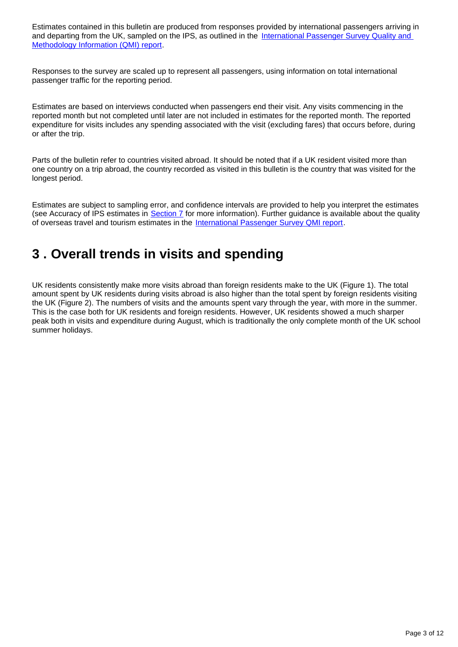Estimates contained in this bulletin are produced from responses provided by international passengers arriving in and departing from the UK, sampled on the IPS, as outlined in the International Passenger Survey Quality and [Methodology Information \(QMI\) report.](https://www.ons.gov.uk/peoplepopulationandcommunity/leisureandtourism/methodologies/internationalpassengersurveyqmi)

Responses to the survey are scaled up to represent all passengers, using information on total international passenger traffic for the reporting period.

Estimates are based on interviews conducted when passengers end their visit. Any visits commencing in the reported month but not completed until later are not included in estimates for the reported month. The reported expenditure for visits includes any spending associated with the visit (excluding fares) that occurs before, during or after the trip.

Parts of the bulletin refer to countries visited abroad. It should be noted that if a UK resident visited more than one country on a trip abroad, the country recorded as visited in this bulletin is the country that was visited for the longest period.

Estimates are subject to sampling error, and confidence intervals are provided to help you interpret the estimates (see Accuracy of IPS estimates in [Section 7](https://www.ons.gov.uk/peoplepopulationandcommunity/leisureandtourism/bulletins/overseastravelandtourism/september2019provisionalresults#quality-and-methodology) for more information). Further guidance is available about the quality of overseas travel and tourism estimates in the [International Passenger Survey QMI report](https://www.ons.gov.uk/peoplepopulationandcommunity/leisureandtourism/methodologies/internationalpassengersurveyqmi).

### <span id="page-2-0"></span>**3 . Overall trends in visits and spending**

UK residents consistently make more visits abroad than foreign residents make to the UK (Figure 1). The total amount spent by UK residents during visits abroad is also higher than the total spent by foreign residents visiting the UK (Figure 2). The numbers of visits and the amounts spent vary through the year, with more in the summer. This is the case both for UK residents and foreign residents. However, UK residents showed a much sharper peak both in visits and expenditure during August, which is traditionally the only complete month of the UK school summer holidays.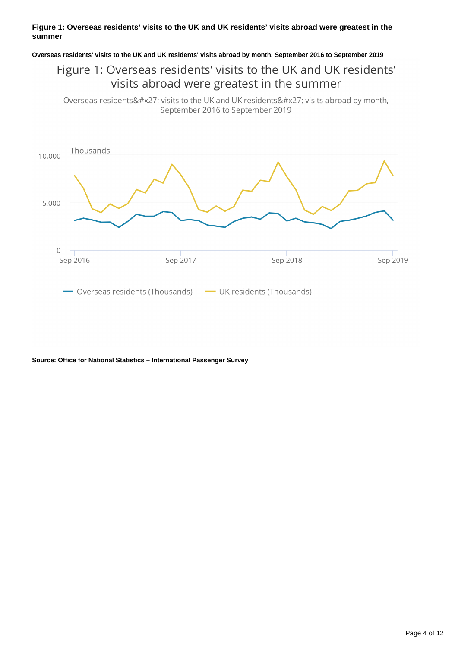#### **Figure 1: Overseas residents' visits to the UK and UK residents' visits abroad were greatest in the summer**

**Overseas residents' visits to the UK and UK residents' visits abroad by month, September 2016 to September 2019**

### Figure 1: Overseas residents' visits to the UK and UK residents' visits abroad were greatest in the summer

Overseas residents' visits to the UK and UK residents' visits abroad by month, September 2016 to September 2019



**Source: Office for National Statistics – International Passenger Survey**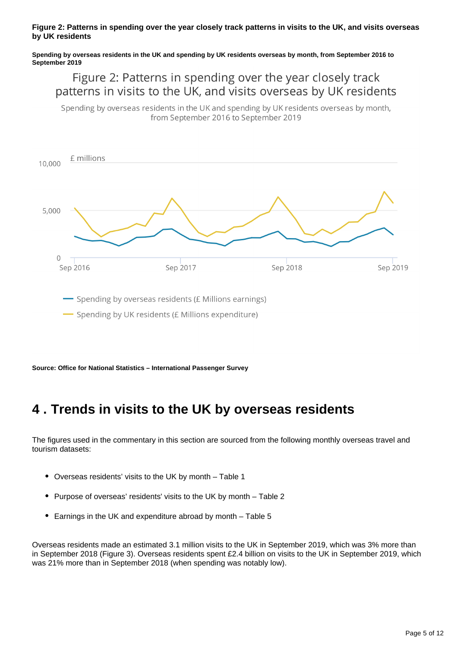#### **Figure 2: Patterns in spending over the year closely track patterns in visits to the UK, and visits overseas by UK residents**

#### **Spending by overseas residents in the UK and spending by UK residents overseas by month, from September 2016 to September 2019**

### Figure 2: Patterns in spending over the year closely track patterns in visits to the UK, and visits overseas by UK residents

Spending by overseas residents in the UK and spending by UK residents overseas by month, from September 2016 to September 2019



**Source: Office for National Statistics – International Passenger Survey**

## <span id="page-4-0"></span>**4 . Trends in visits to the UK by overseas residents**

The figures used in the commentary in this section are sourced from the following monthly overseas travel and tourism datasets:

- $\bullet$ Overseas residents' visits to the UK by month – Table 1
- Purpose of overseas' residents' visits to the UK by month Table 2
- Earnings in the UK and expenditure abroad by month Table 5

Overseas residents made an estimated 3.1 million visits to the UK in September 2019, which was 3% more than in September 2018 (Figure 3). Overseas residents spent £2.4 billion on visits to the UK in September 2019, which was 21% more than in September 2018 (when spending was notably low).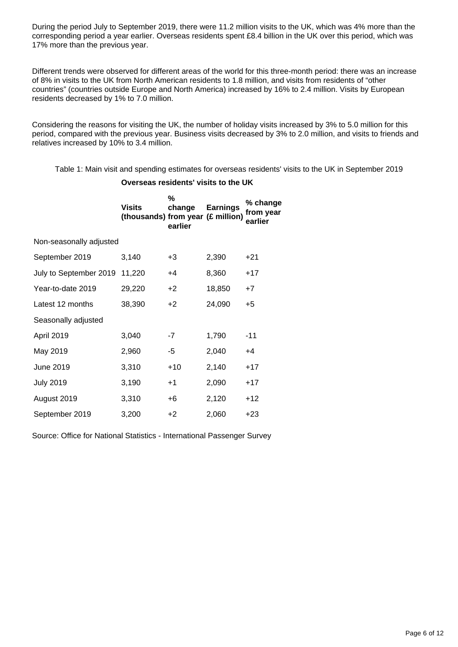During the period July to September 2019, there were 11.2 million visits to the UK, which was 4% more than the corresponding period a year earlier. Overseas residents spent £8.4 billion in the UK over this period, which was 17% more than the previous year.

Different trends were observed for different areas of the world for this three-month period: there was an increase of 8% in visits to the UK from North American residents to 1.8 million, and visits from residents of "other countries" (countries outside Europe and North America) increased by 16% to 2.4 million. Visits by European residents decreased by 1% to 7.0 million.

Considering the reasons for visiting the UK, the number of holiday visits increased by 3% to 5.0 million for this period, compared with the previous year. Business visits decreased by 3% to 2.0 million, and visits to friends and relatives increased by 10% to 3.4 million.

Table 1: Main visit and spending estimates for overseas residents' visits to the UK in September 2019

**Overseas residents' visits to the UK**

|                         | <b>Visits</b><br>(thousands) from year (£ million) | %<br>change<br>earlier | <b>Earnings</b> | % change<br>from year<br>earlier |
|-------------------------|----------------------------------------------------|------------------------|-----------------|----------------------------------|
| Non-seasonally adjusted |                                                    |                        |                 |                                  |
| September 2019          | 3,140                                              | +3                     | 2,390           | $+21$                            |
| July to September 2019  | 11,220                                             | $+4$                   | 8,360           | $+17$                            |
| Year-to-date 2019       | 29,220                                             | $+2$                   | 18,850          | +7                               |
| Latest 12 months        | 38,390                                             | +2                     | 24,090          | $+5$                             |
| Seasonally adjusted     |                                                    |                        |                 |                                  |
| April 2019              | 3,040                                              | $-7$                   | 1,790           | $-11$                            |
| May 2019                | 2,960                                              | -5                     | 2,040           | $+4$                             |
| June 2019               | 3,310                                              | $+10$                  | 2,140           | $+17$                            |
| <b>July 2019</b>        | 3,190                                              | $+1$                   | 2,090           | $+17$                            |
| August 2019             | 3,310                                              | +6                     | 2,120           | $+12$                            |
| September 2019          | 3,200                                              | +2                     | 2,060           | +23                              |

Source: Office for National Statistics - International Passenger Survey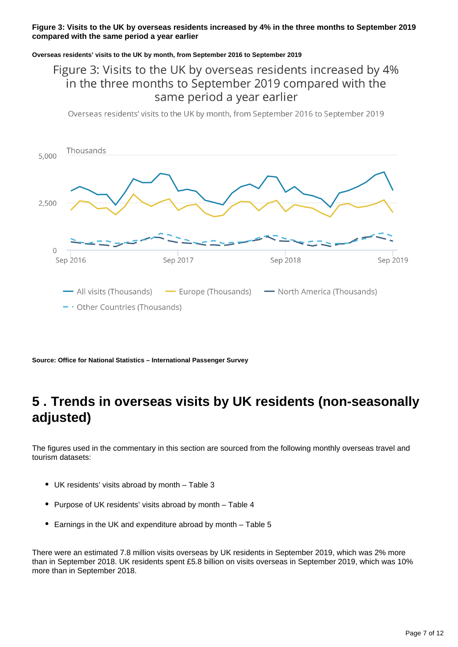#### **Figure 3: Visits to the UK by overseas residents increased by 4% in the three months to September 2019 compared with the same period a year earlier**

#### **Overseas residents' visits to the UK by month, from September 2016 to September 2019**

### Figure 3: Visits to the UK by overseas residents increased by 4% in the three months to September 2019 compared with the same period a year earlier

Overseas residents' visits to the UK by month, from September 2016 to September 2019



**Source: Office for National Statistics – International Passenger Survey**

### <span id="page-6-0"></span>**5 . Trends in overseas visits by UK residents (non-seasonally adjusted)**

The figures used in the commentary in this section are sourced from the following monthly overseas travel and tourism datasets:

- UK residents' visits abroad by month Table 3
- Purpose of UK residents' visits abroad by month Table 4
- Earnings in the UK and expenditure abroad by month Table 5

There were an estimated 7.8 million visits overseas by UK residents in September 2019, which was 2% more than in September 2018. UK residents spent £5.8 billion on visits overseas in September 2019, which was 10% more than in September 2018.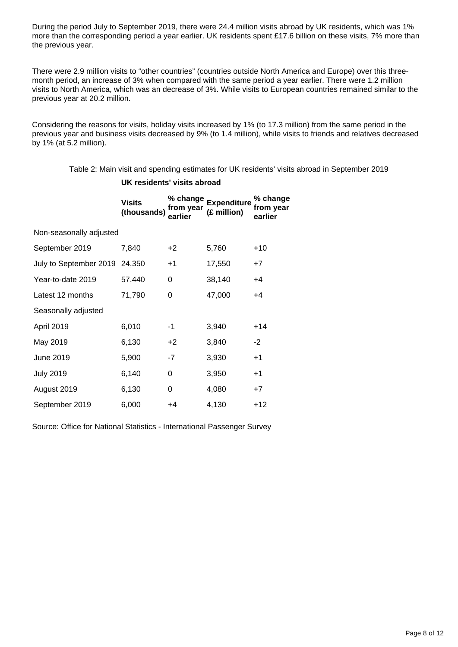During the period July to September 2019, there were 24.4 million visits abroad by UK residents, which was 1% more than the corresponding period a year earlier. UK residents spent £17.6 billion on these visits, 7% more than the previous year.

There were 2.9 million visits to "other countries" (countries outside North America and Europe) over this threemonth period, an increase of 3% when compared with the same period a year earlier. There were 1.2 million visits to North America, which was an decrease of 3%. While visits to European countries remained similar to the previous year at 20.2 million.

Considering the reasons for visits, holiday visits increased by 1% (to 17.3 million) from the same period in the previous year and business visits decreased by 9% (to 1.4 million), while visits to friends and relatives decreased by 1% (at 5.2 million).

Table 2: Main visit and spending estimates for UK residents' visits abroad in September 2019

#### **UK residents' visits abroad**

|                         | <b>Visits</b><br>(thousands) | % change<br>from vear<br>earlier | <b>Expenditure</b><br>(£ million) | % change<br>from year<br>earlier |  |  |
|-------------------------|------------------------------|----------------------------------|-----------------------------------|----------------------------------|--|--|
| Non-seasonally adjusted |                              |                                  |                                   |                                  |  |  |
| September 2019          | 7,840                        | $+2$                             | 5,760                             | $+10$                            |  |  |
| July to September 2019  | 24,350                       | $+1$                             | 17,550                            | $+7$                             |  |  |
| Year-to-date 2019       | 57,440                       | 0                                | 38,140                            | $+4$                             |  |  |
| Latest 12 months        | 71,790                       | 0                                | 47,000                            | +4                               |  |  |
| Seasonally adjusted     |                              |                                  |                                   |                                  |  |  |
| April 2019              | 6,010                        | -1                               | 3,940                             | $+14$                            |  |  |
| May 2019                | 6,130                        | $+2$                             | 3,840                             | $-2$                             |  |  |
| June 2019               | 5,900                        | -7                               | 3,930                             | $+1$                             |  |  |
| <b>July 2019</b>        | 6,140                        | 0                                | 3,950                             | $+1$                             |  |  |
| August 2019             | 6,130                        | 0                                | 4,080                             | $+7$                             |  |  |
| September 2019          | 6,000                        | +4                               | 4,130                             | +12                              |  |  |

Source: Office for National Statistics - International Passenger Survey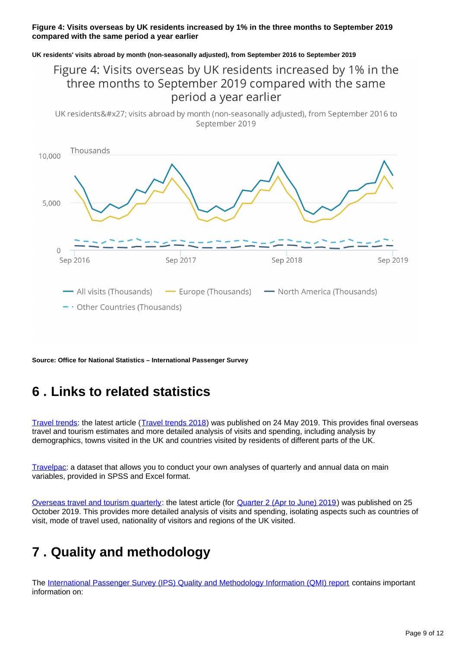#### **Figure 4: Visits overseas by UK residents increased by 1% in the three months to September 2019 compared with the same period a year earlier**

#### **UK residents' visits abroad by month (non-seasonally adjusted), from September 2016 to September 2019**

### Figure 4: Visits overseas by UK residents increased by 1% in the three months to September 2019 compared with the same period a year earlier

UK residents' visits abroad by month (non-seasonally adjusted), from September 2016 to September 2019



**Source: Office for National Statistics – International Passenger Survey**

## <span id="page-8-0"></span>**6 . Links to related statistics**

[Travel trends:](https://www.ons.gov.uk/peoplepopulationandcommunity/leisureandtourism/articles/traveltrends/previousReleases) the latest article ([Travel trends 2018](https://www.ons.gov.uk/peoplepopulationandcommunity/leisureandtourism/articles/traveltrends/2018)) was published on 24 May 2019. This provides final overseas travel and tourism estimates and more detailed analysis of visits and spending, including analysis by demographics, towns visited in the UK and countries visited by residents of different parts of the UK.

[Travelpac](http://www.ons.gov.uk/peoplepopulationandcommunity/leisureandtourism/datasets/travelpac): a dataset that allows you to conduct your own analyses of quarterly and annual data on main variables, provided in SPSS and Excel format.

[Overseas travel and tourism quarterly](http://www.ons.gov.uk/peoplepopulationandcommunity/leisureandtourism/articles/overseastravelandtourismprovisionalresults/previousReleases): the latest article (for [Quarter 2 \(Apr to June\) 2019](https://www.ons.gov.uk/peoplepopulationandcommunity/leisureandtourism/articles/overseastravelandtourismprovisionalresults/apriltojune2019)) was published on 25 October 2019. This provides more detailed analysis of visits and spending, isolating aspects such as countries of visit, mode of travel used, nationality of visitors and regions of the UK visited.

## <span id="page-8-1"></span>**7 . Quality and methodology**

The [International Passenger Survey \(IPS\) Quality and Methodology Information \(QMI\) report](https://www.ons.gov.uk/peoplepopulationandcommunity/leisureandtourism/qmis/internationalpassengersurveyipsqmi) contains important information on: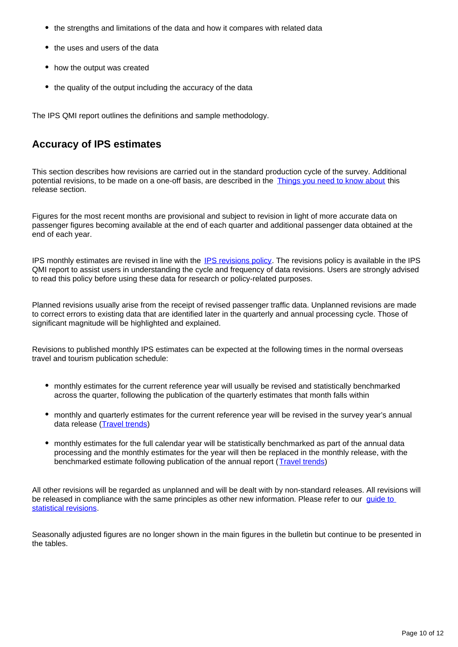- the strengths and limitations of the data and how it compares with related data
- the uses and users of the data
- how the output was created
- the quality of the output including the accuracy of the data

The IPS QMI report outlines the definitions and sample methodology.

### **Accuracy of IPS estimates**

This section describes how revisions are carried out in the standard production cycle of the survey. Additional potential revisions, to be made on a one-off basis, are described in the [Things you need to know about](https://www.ons.gov.uk/peoplepopulationandcommunity/leisureandtourism/bulletins/overseastravelandtourism/september2019provisionalresults#things-you-need-to-know-about-this-release) this release section.

Figures for the most recent months are provisional and subject to revision in light of more accurate data on passenger figures becoming available at the end of each quarter and additional passenger data obtained at the end of each year.

IPS monthly estimates are revised in line with the [IPS revisions policy.](https://www.ons.gov.uk/peoplepopulationandcommunity/leisureandtourism/methodologies/internationalpassengersurveyqmi#other-information) The revisions policy is available in the IPS QMI report to assist users in understanding the cycle and frequency of data revisions. Users are strongly advised to read this policy before using these data for research or policy-related purposes.

Planned revisions usually arise from the receipt of revised passenger traffic data. Unplanned revisions are made to correct errors to existing data that are identified later in the quarterly and annual processing cycle. Those of significant magnitude will be highlighted and explained.

Revisions to published monthly IPS estimates can be expected at the following times in the normal overseas travel and tourism publication schedule:

- monthly estimates for the current reference year will usually be revised and statistically benchmarked across the quarter, following the publication of the quarterly estimates that month falls within
- monthly and quarterly estimates for the current reference year will be revised in the survey year's annual data release [\(Travel trends\)](https://www.ons.gov.uk/peoplepopulationandcommunity/leisureandtourism/articles/traveltrends/previousReleases)
- monthly estimates for the full calendar year will be statistically benchmarked as part of the annual data processing and the monthly estimates for the year will then be replaced in the monthly release, with the benchmarked estimate following publication of the annual report ([Travel trends](https://www.ons.gov.uk/peoplepopulationandcommunity/leisureandtourism/articles/traveltrends/previousReleases))

All other revisions will be regarded as unplanned and will be dealt with by non-standard releases. All revisions will be released in compliance with the same principles as other new information. Please refer to our guide to [statistical revisions](http://www.ons.gov.uk/ons/guide-method/revisions/guide-to-statistical-revisions/index.html).

Seasonally adjusted figures are no longer shown in the main figures in the bulletin but continue to be presented in the tables.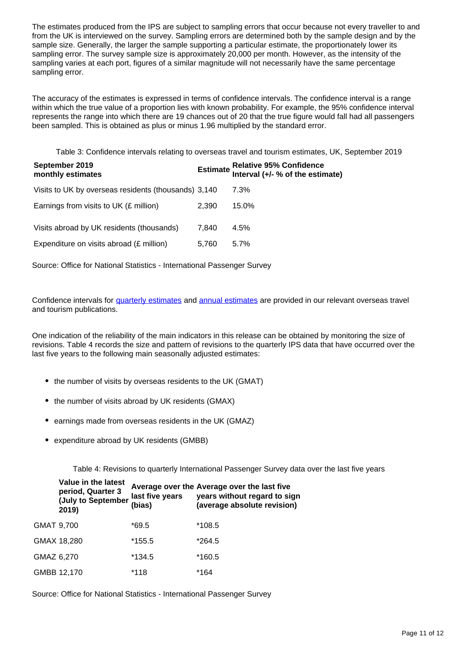The estimates produced from the IPS are subject to sampling errors that occur because not every traveller to and from the UK is interviewed on the survey. Sampling errors are determined both by the sample design and by the sample size. Generally, the larger the sample supporting a particular estimate, the proportionately lower its sampling error. The survey sample size is approximately 20,000 per month. However, as the intensity of the sampling varies at each port, figures of a similar magnitude will not necessarily have the same percentage sampling error.

The accuracy of the estimates is expressed in terms of confidence intervals. The confidence interval is a range within which the true value of a proportion lies with known probability. For example, the 95% confidence interval represents the range into which there are 19 chances out of 20 that the true figure would fall had all passengers been sampled. This is obtained as plus or minus 1.96 multiplied by the standard error.

Table 3: Confidence intervals relating to overseas travel and tourism estimates, UK, September 2019

| September 2019<br>monthly estimates                  |       | Estimate Relative 95% Confidence<br>Interval (+/- % of the estimate) |
|------------------------------------------------------|-------|----------------------------------------------------------------------|
| Visits to UK by overseas residents (thousands) 3,140 |       | 7.3%                                                                 |
| Earnings from visits to UK $(E \text{ million})$     | 2.390 | 15.0%                                                                |
| Visits abroad by UK residents (thousands)            | 7.840 | 4.5%                                                                 |
| Expenditure on visits abroad (£ million)             | 5.760 | $5.7\%$                                                              |

Source: Office for National Statistics - International Passenger Survey

Confidence intervals for [quarterly estimates](http://www.ons.gov.uk/peoplepopulationandcommunity/leisureandtourism/articles/overseastravelandtourismprovisionalresults/previousReleases) and [annual estimates](http://www.ons.gov.uk/peoplepopulationandcommunity/leisureandtourism/articles/traveltrends/previousReleases) are provided in our relevant overseas travel and tourism publications.

One indication of the reliability of the main indicators in this release can be obtained by monitoring the size of revisions. Table 4 records the size and pattern of revisions to the quarterly IPS data that have occurred over the last five years to the following main seasonally adjusted estimates:

- the number of visits by overseas residents to the UK (GMAT)
- the number of visits abroad by UK residents (GMAX)
- earnings made from overseas residents in the UK (GMAZ)
- expenditure abroad by UK residents (GMBB)

Table 4: Revisions to quarterly International Passenger Survey data over the last five years

|            | Value in the latest<br>period, Quarter 3<br>(July to September<br>2019) | last five years<br>(bias) | Average over the Average over the last five<br>years without regard to sign<br>(average absolute revision) |
|------------|-------------------------------------------------------------------------|---------------------------|------------------------------------------------------------------------------------------------------------|
| GMAT 9,700 |                                                                         | $*69.5$                   | *108.5                                                                                                     |
|            | GMAX 18,280                                                             | *155.5                    | *264.5                                                                                                     |
| GMAZ 6,270 |                                                                         | *134.5                    | *160.5                                                                                                     |
|            | GMBB 12,170                                                             | *118                      | *164                                                                                                       |

Source: Office for National Statistics - International Passenger Survey